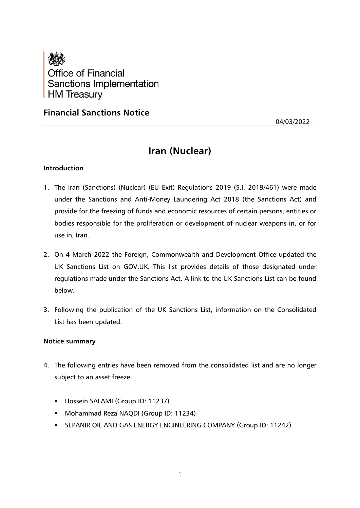

## **Financial Sanctions Notice**

04/03/2022

# **Iran (Nuclear)**

## **Introduction**

- 1. The Iran (Sanctions) (Nuclear) (EU Exit) Regulations 2019 (S.I. 2019/461) were made under the Sanctions and Anti-Money Laundering Act 2018 (the Sanctions Act) and provide for the freezing of funds and economic resources of certain persons, entities or bodies responsible for the proliferation or development of nuclear weapons in, or for use in, Iran.
- 2. On 4 March 2022 the Foreign, Commonwealth and Development Office updated the UK Sanctions List on GOV.UK. This list provides details of those designated under regulations made under the Sanctions Act. A link to the UK Sanctions List can be found below.
- 3. Following the publication of the UK Sanctions List, information on the Consolidated List has been updated.

## **Notice summary**

- 4. The following entries have been removed from the consolidated list and are no longer subject to an asset freeze.
	- Hossein SALAMI (Group ID: 11237)
	- Mohammad Reza NAQDI (Group ID: 11234)
	- SEPANIR OIL AND GAS ENERGY ENGINEERING COMPANY (Group ID: 11242)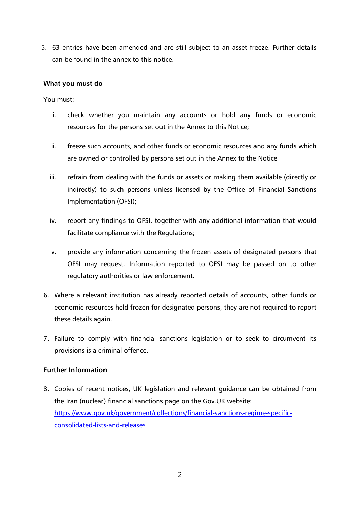5. 63 entries have been amended and are still subject to an asset freeze. Further details can be found in the annex to this notice.

## **What you must do**

You must:

- i. check whether you maintain any accounts or hold any funds or economic resources for the persons set out in the Annex to this Notice;
- ii. freeze such accounts, and other funds or economic resources and any funds which are owned or controlled by persons set out in the Annex to the Notice
- iii. refrain from dealing with the funds or assets or making them available (directly or indirectly) to such persons unless licensed by the Office of Financial Sanctions Implementation (OFSI);
- iv. report any findings to OFSI, together with any additional information that would facilitate compliance with the Regulations;
- v. provide any information concerning the frozen assets of designated persons that OFSI may request. Information reported to OFSI may be passed on to other regulatory authorities or law enforcement.
- 6. Where a relevant institution has already reported details of accounts, other funds or economic resources held frozen for designated persons, they are not required to report these details again.
- 7. Failure to comply with financial sanctions legislation or to seek to circumvent its provisions is a criminal offence.

## **Further Information**

8. Copies of recent notices, UK legislation and relevant guidance can be obtained from the Iran (nuclear) financial sanctions page on the Gov.UK website: [https://www.gov.uk/government/collections/financial-sanctions-regime-specific](https://www.gov.uk/government/collections/financial-sanctions-regime-specific-consolidated-lists-and-releases)[consolidated-lists-and-releases](https://www.gov.uk/government/collections/financial-sanctions-regime-specific-consolidated-lists-and-releases)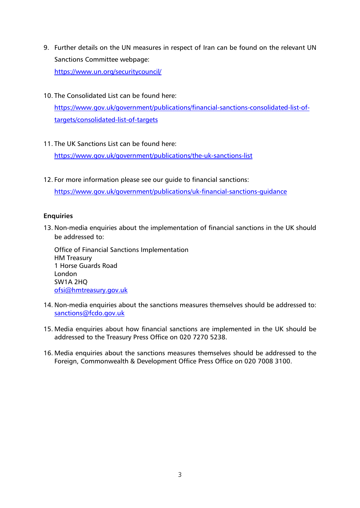- 9. Further details on the UN measures in respect of Iran can be found on the relevant UN Sanctions Committee webpage: <https://www.un.org/securitycouncil/>
- 10. The Consolidated List can be found here:

[https://www.gov.uk/government/publications/financial-sanctions-consolidated-list-of](https://www.gov.uk/government/publications/financial-sanctions-consolidated-list-of-targets/consolidated-list-of-targets)[targets/consolidated-list-of-targets](https://www.gov.uk/government/publications/financial-sanctions-consolidated-list-of-targets/consolidated-list-of-targets)

11. The UK Sanctions List can be found here:

<https://www.gov.uk/government/publications/the-uk-sanctions-list>

12. For more information please see our guide to financial sanctions:

<https://www.gov.uk/government/publications/uk-financial-sanctions-guidance>

## **Enquiries**

13. Non-media enquiries about the implementation of financial sanctions in the UK should be addressed to:

Office of Financial Sanctions Implementation HM Treasury 1 Horse Guards Road London SW1A 2HQ [ofsi@hmtreasury.gov.uk](mailto:ofsi@hmtreasury.gov.uk)

- 14. Non-media enquiries about the sanctions measures themselves should be addressed to: [sanctions@fcdo.gov.uk](mailto:sanctions@fcdo.gov.uk)
- 15. Media enquiries about how financial sanctions are implemented in the UK should be addressed to the Treasury Press Office on 020 7270 5238.
- 16. Media enquiries about the sanctions measures themselves should be addressed to the Foreign, Commonwealth & Development Office Press Office on 020 7008 3100.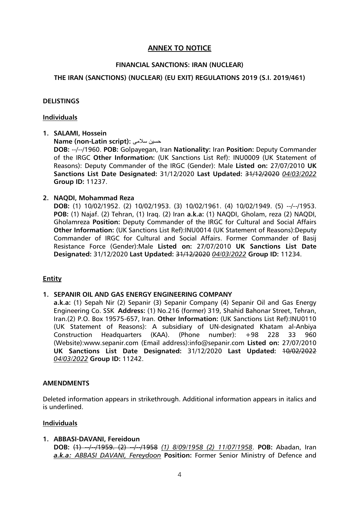## **ANNEX TO NOTICE**

## **FINANCIAL SANCTIONS: IRAN (NUCLEAR)**

## **THE IRAN (SANCTIONS) (NUCLEAR) (EU EXIT) REGULATIONS 2019 (S.I. 2019/461)**

## **DELISTINGS**

#### **Individuals**

**1. SALAMI, Hossein**

**Name (non-Latin script):** سالمی ن حسی

**DOB:** --/--/1960. **POB:** Golpayegan, Iran **Nationality:** Iran **Position:** Deputy Commander of the IRGC **Other Information:** (UK Sanctions List Ref): INU0009 (UK Statement of Reasons): Deputy Commander of the IRGC (Gender): Male **Listed on:** 27/07/2010 **UK Sanctions List Date Designated:** 31/12/2020 **Last Updated:** 31/12/2020 *04/03/2022* **Group ID:** 11237.

## **2. NAQDI, Mohammad Reza**

**DOB:** (1) 10/02/1952. (2) 10/02/1953. (3) 10/02/1961. (4) 10/02/1949. (5) --/--/1953. **POB:** (1) Najaf. (2) Tehran, (1) Iraq. (2) Iran **a.k.a:** (1) NAQDI, Gholam, reza (2) NAQDI, Gholamreza **Position:** Deputy Commander of the IRGC for Cultural and Social Affairs **Other Information:** (UK Sanctions List Ref):INU0014 (UK Statement of Reasons):Deputy Commander of IRGC for Cultural and Social Affairs. Former Commander of Basij Resistance Force (Gender):Male **Listed on:** 27/07/2010 **UK Sanctions List Date Designated:** 31/12/2020 **Last Updated:** 31/12/2020 *04/03/2022* **Group ID:** 11234.

## **Entity**

## **1. SEPANIR OIL AND GAS ENERGY ENGINEERING COMPANY**

**a.k.a:** (1) Sepah Nir (2) Sepanir (3) Sepanir Company (4) Sepanir Oil and Gas Energy Engineering Co. SSK **Address:** (1) No.216 (former) 319, Shahid Bahonar Street, Tehran, Iran.(2) P.O. Box 19575-657, Iran. **Other Information:** (UK Sanctions List Ref):INU0110 (UK Statement of Reasons): A subsidiary of UN-designated Khatam al-Anbiya Construction Headquarters (KAA). (Phone number): +98 228 33 960 (Website):www.sepanir.com (Email address):info@sepanir.com **Listed on:** 27/07/2010 **UK Sanctions List Date Designated:** 31/12/2020 **Last Updated:** 10/02/2022 *04/03/2022* **Group ID:** 11242.

#### **AMENDMENTS**

Deleted information appears in strikethrough. Additional information appears in italics and is underlined.

## **Individuals**

## **1. ABBASI-DAVANI, Fereidoun**

**DOB:** (4)  $-$ /-/1959. (2)  $-$ /-/1958 (1) 8/09/1958 (2) 11/07/1958. **POB:** Abadan, Iran *a.k.a: ABBASI DAVANI, Fereydoon* **Position:** Former Senior Ministry of Defence and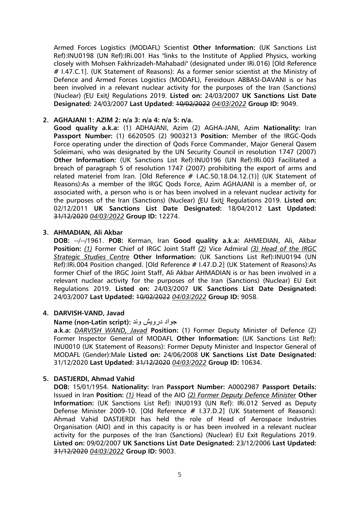Armed Forces Logistics (MODAFL) Scientist **Other Information:** (UK Sanctions List Ref):INU0198 (UN Ref):IRi.001 Has "links to the Institute of Applied Physics, working closely with Mohsen Fakhrizadeh-Mahabadi" (designated under IRi.016) [Old Reference # I.47.C.1]. (UK Statement of Reasons): As a former senior scientist at the Ministry of Defence and Armed Forces Logistics (MODAFL), Fereidoun ABBASI-DAVANI is or has been involved in a relevant nuclear activity for the purposes of the Iran (Sanctions) (Nuclear) *(*EU Exit*)* Regulations 2019. **Listed on:** 24/03/2007 **UK Sanctions List Date Designated:** 24/03/2007 **Last Updated:** 10/02/2022 *04/03/2022* **Group ID:** 9049.

## **2. AGHAJANI 1: AZIM 2: n/a 3: n/a 4: n/a 5: n/a.**

**Good quality a.k.a:** (1) ADHAJANI, Azim (2) AGHA-JANI, Azim **Nationality:** Iran **Passport Number:** (1) 6620505 (2) 9003213 **Position:** Member of the IRGC-Qods Force operating under the direction of Qods Force Commander, Major General Qasem Soleimani, who was designated by the UN Security Council in resolution 1747 (2007) **Other Information:** (UK Sanctions List Ref):INU0196 (UN Ref):IRi.003 Facilitated a breach of paragraph 5 of resolution 1747 (2007) prohibiting the export of arms and related materiel from Iran. [Old Reference # I.AC.50.18.04.12.(1)] (UK Statement of Reasons):As a member of the IRGC Qods Force, Azim AGHAJANI is a member of, or associated with, a person who is or has been involved in a relevant nuclear activity for the purposes of the Iran (Sanctions) (Nuclear) *(*EU Exit*)* Regulations 2019. **Listed on:** 02/12/2011 **UK Sanctions List Date Designated:** 18/04/2012 **Last Updated:** 31/12/2020 *04/03/2022* **Group ID:** 12274.

## **3. AHMADIAN, Ali Akbar**

**DOB:** --/--/1961. **POB:** Kerman, Iran **Good quality a.k.a:** AHMEDIAN, Ali, Akbar **Position:** *(1)* Former Chief of IRGC Joint Staff *(2)* Vice Admiral *(3) Head of the IRGC Strategic Studies Centre* **Other Information:** (UK Sanctions List Ref):INU0194 (UN Ref):IRi.004 Position changed. [Old Reference # I.47.D.2] (UK Statement of Reasons):As former Chief of the IRGC Joint Staff, Ali Akbar AHMADIAN is or has been involved in a relevant nuclear activity for the purposes of the Iran (Sanctions) (Nuclear) EU Exit Regulations 2019. **Listed on:** 24/03/2007 **UK Sanctions List Date Designated:** 24/03/2007 **Last Updated:** 10/02/2022 *04/03/2022* **Group ID:** 9058.

## **4. DARVISH-VAND, Javad**

## **Name (non-Latin script):** وند درویش جواد

**a.k.a:** *DARVISH WAND, Javad* **Position:** (1) Former Deputy Minister of Defence (2) Former Inspector General of MODAFL **Other Information:** (UK Sanctions List Ref): INU0010 (UK Statement of Reasons): Former Deputy Minister and Inspector General of MODAFL (Gender):Male **Listed on:** 24/06/2008 **UK Sanctions List Date Designated:** 31/12/2020 **Last Updated:** 31/12/2020 *04/03/2022* **Group ID:** 10634.

## **5. DASTJERDI, Ahmad Vahid**

**DOB:** 15/01/1954. **Nationality:** Iran **Passport Number:** A0002987 **Passport Details:** Issued in Iran **Position:** *(1)* Head of the AIO *(2) Former Deputy Defence Minister* **Other Information:** (UK Sanctions List Ref): INU0193 (UN Ref): IRi.012 Served as Deputy Defense Minister 2009-10. [Old Reference # I.37.D.2] (UK Statement of Reasons): Ahmad Vahid DASTJERDI has held the role of Head of Aerospace Industries Organisation (AIO) and in this capacity is or has been involved in a relevant nuclear activity for the purposes of the Iran (Sanctions) (Nuclear) EU Exit Regulations 2019. **Listed on:** 09/02/2007 **UK Sanctions List Date Designated:** 23/12/2006 **Last Updated:** 31/12/2020 *04/03/2022* **Group ID:** 9003.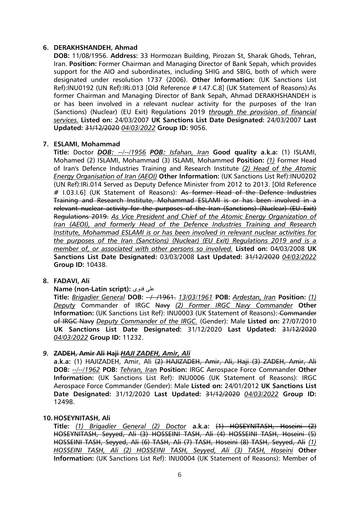## **6. DERAKHSHANDEH, Ahmad**

**DOB:** 11/08/1956. **Address:** 33 Hormozan Building, Pirozan St, Sharak Ghods, Tehran, Iran. **Position:** Former Chairman and Managing Director of Bank Sepah, which provides support for the AIO and subordinates, including SHIG and SBIG, both of which were designated under resolution 1737 (2006). **Other Information:** (UK Sanctions List Ref):INU0192 (UN Ref):IRi.013 [Old Reference # I.47.C.8] (UK Statement of Reasons):As former Chairman and Managing Director of Bank Sepah, Ahmad DERAKHSHANDEH is or has been involved in a relevant nuclear activity for the purposes of the Iran (Sanctions) (Nuclear) (EU Exit) Regulations 2019 *through the provision of financial services.* **Listed on:** 24/03/2007 **UK Sanctions List Date Designated:** 24/03/2007 **Last Updated:** 31/12/2020 *04/03/2022* **Group ID:** 9056.

## **7. ESLAMI, Mohammad**

**Title:** Doctor *DOB: --/--/1956 POB: Isfahan, Iran* **Good quality a.k.a:** (1) ISLAMI, Mohamed (2) ISLAMI, Mohammad (3) ISLAMI, Mohammed **Position:** *(1)* Former Head of Iran's Defence Industries Training and Research Institute *(2) Head of the Atomic Energy Organisation of Iran (AEOI)* **Other Information:** (UK Sanctions List Ref):INU0202 (UN Ref):IRi.014 Served as Deputy Defence Minister from 2012 to 2013. [Old Reference # 1.03.1.6] (UK Statement of Reasons): As former Head of the Defence Industries Training and Research Institute, Mohammad ESLAMI is or has been involved in a relevant nuclear activity for the purposes of the Iran (Sanctions) (Nuclear) (EU Exit) Regulations 2019. *As Vice President and Chief of the Atomic Energy Organization of Iran (AEOI), and formerly Head of the Defence Industries Training and Research Institute, Mohammad ESLAMI is or has been involved in relevant nuclear activities for the purposes of the Iran (Sanctions) (Nuclear) (EU Exit) Regulations 2019 and is a member of, or associated with other persons so involved.* **Listed on:** 04/03/2008 **UK Sanctions List Date Designated:** 03/03/2008 **Last Updated:** 31/12/2020 *04/03/2022* **Group ID:** 10438.

#### **8. FADAVI, Ali**

#### **Name (non-Latin script):** فدوی علی

**Title:** *Brigadier General* **DOB:**  $\rightarrow$  -/1961. *13/03/1961* **POB:** *Ardestan, Iran* **Position:** (1) *Deputy* Commander of IRGC Navy *(2) Former IRGC Navy Commander* **Other Information:** (UK Sanctions List Ref): INU0003 (UK Statement of Reasons): Commander of IRGC Navy *Deputy Commander of the IRGC.* (Gender): Male **Listed on:** 27/07/2010 **UK Sanctions List Date Designated:** 31/12/2020 **Last Updated:** 31/12/2020 *04/03/2022* **Group ID:** 11232.

## *9.* **ZADEH, Amir Ali Haji** *HAJI ZADEH, Amir, Ali*

**a.k.a:** (1) HAJIZADEH, Amir, Ali (2) HAJIZADEH, Amir, Ali, Haji (3) ZADEH, Amir, Ali **DOB:** *--/--/1962* **POB:** *Tehran, Iran* **Position:** IRGC Aerospace Force Commander **Other Information:** (UK Sanctions List Ref): INU0006 (UK Statement of Reasons): IRGC Aerospace Force Commander (Gender): Male **Listed on:** 24/01/2012 **UK Sanctions List Date Designated:** 31/12/2020 **Last Updated:** 31/12/2020 *04/03/2022* **Group ID:** 12498.

#### **10.HOSEYNITASH, Ali**

**Title:** *(1) Brigadier General (2) Doctor* **a.k.a:** (1) HOSEYNITASH, Hoseini (2) HOSEYNITASH, Seyyed, Ali (3) HOSSEINI TASH, Ali (4) HOSSEINI TASH, Hoseini (5) HOSSEINI TASH, Seyyed, Ali (6) TASH, Ali (7) TASH, Hoseini (8) TASH, Seyyed, Ali *(1) HOSSEINI TASH, Ali (2) HOSSEINI TASH, Seyyed, Ali (3) TASH, Hoseini* **Other Information:** (UK Sanctions List Ref): INU0004 (UK Statement of Reasons): Member of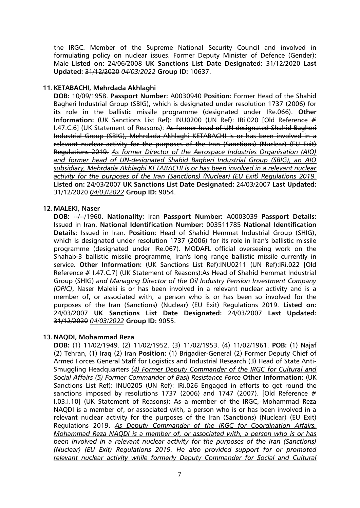the IRGC. Member of the Supreme National Security Council and involved in formulating policy on nuclear issues. Former Deputy Minister of Defence (Gender): Male **Listed on:** 24/06/2008 **UK Sanctions List Date Designated:** 31/12/2020 **Last Updated:** 31/12/2020 *04/03/2022* **Group ID:** 10637.

## **11.KETABACHI, Mehrdada Akhlaghi**

**DOB:** 10/09/1958. **Passport Number:** A0030940 **Position:** Former Head of the Shahid Bagheri Industrial Group (SBIG), which is designated under resolution 1737 (2006) for its role in the ballistic missile programme (designated under IRe.066). **Other Information:** (UK Sanctions List Ref): INU0200 (UN Ref): IRi.020 [Old Reference # I.47.C.6] (UK Statement of Reasons): As former head of UN-designated Shahid Bagheri Industrial Group (SBIG), Mehrdada Akhlaghi KETABACHI is or has been involved in a relevant nuclear activity for the purposes of the Iran (Sanctions) (Nuclear) (EU Exit) Regulations 2019. *As former Director of the Aerospace Industries Organisation (AIO) and former head of UN-designated Shahid Bagheri Industrial Group (SBIG), an AIO subsidiary, Mehrdada Akhlaghi KETABACHI is or has been involved in a relevant nuclear activity for the purposes of the Iran (Sanctions) (Nuclear) (EU Exit) Regulations 2019.* **Listed on:** 24/03/2007 **UK Sanctions List Date Designated:** 24/03/2007 **Last Updated:** 31/12/2020 *04/03/2022* **Group ID:** 9054.

## **12.MALEKI, Naser**

**DOB:** --/--/1960. **Nationality:** Iran **Passport Number:** A0003039 **Passport Details:** Issued in Iran. **National Identification Number:** 003511785 **National Identification Details:** Issued in Iran. **Position:** Head of Shahid Hemmat Industrial Group (SHIG), which is designated under resolution 1737 (2006) for its role in Iran's ballistic missile programme (designated under IRe.067). MODAFL official overseeing work on the Shahab-3 ballistic missile programme, Iran's long range ballistic missile currently in service. **Other Information:** (UK Sanctions List Ref):INU0211 (UN Ref):IRi.022 [Old Reference # I.47.C.7] (UK Statement of Reasons):As Head of Shahid Hemmat Industrial Group (SHIG) *and Managing Director of the Oil Industry Pension Investment Company (OPIC)*, Naser Maleki is or has been involved in a relevant nuclear activity and is a member of, or associated with, a person who is or has been so involved for the purposes of the Iran (Sanctions) (Nuclear) (EU Exit) Regulations 2019. **Listed on:** 24/03/2007 **UK Sanctions List Date Designated:** 24/03/2007 **Last Updated:** 31/12/2020 *04/03/2022* **Group ID:** 9055.

## **13.NAQDI, Mohammad Reza**

**DOB:** (1) 11/02/1949. (2) 11/02/1952. (3) 11/02/1953. (4) 11/02/1961. **POB:** (1) Najaf (2) Tehran, (1) Iraq (2) Iran **Position:** (1) Brigadier-General (2) Former Deputy Chief of Armed Forces General Staff for Logistics and Industrial Research (3) Head of State Anti-Smuggling Headquarters *(4) Former Deputy Commander of the IRGC for Cultural and Social Affairs (5) Former Commander of Basij Resistance Force* **Other Information:** (UK Sanctions List Ref): INU0205 (UN Ref): IRi.026 Engaged in efforts to get round the sanctions imposed by resolutions 1737 (2006) and 1747 (2007). [Old Reference # I.03.I.10] (UK Statement of Reasons): As a member of the IRGC, Mohammad Reza NAQDI is a member of, or associated with, a person who is or has been involved in a relevant nuclear activity for the purposes of the Iran (Sanctions) (Nuclear) (EU Exit) Regulations 2019. *As Deputy Commander of the IRGC for Coordination Affairs, Mohammad Reza NAQDI is a member of, or associated with, a person who is or has been involved in a relevant nuclear activity for the purposes of the Iran (Sanctions) (Nuclear) (EU Exit) Regulations 2019. He also provided support for or promoted relevant nuclear activity while formerly Deputy Commander for Social and Cultural*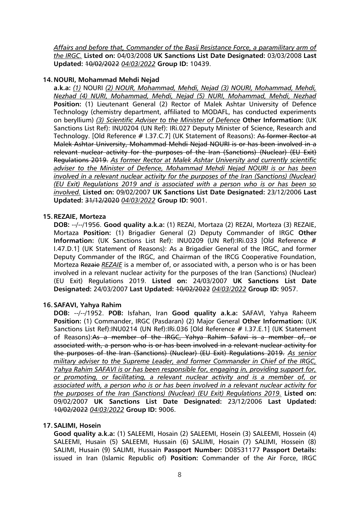*Affairs and before that, Commander of the Basij Resistance Force, a paramilitary arm of the IRGC.* **Listed on:** 04/03/2008 **UK Sanctions List Date Designated:** 03/03/2008 **Last Updated:** 10/02/2022 *04/03/2022* **Group ID:** 10439.

## **14.NOURI, Mohammad Mehdi Nejad**

**a.k.a:** *(1)* NOURI *(2) NOUR, Mohammad, Mehdi, Nejad (3) NOURI, Mohammad, Mehdi, Nezhad (4) NURI, Mohammad, Mehdi, Nejad (5) NURI, Mohammad, Mehdi, Nezhad* **Position:** (1) Lieutenant General (2) Rector of Malek Ashtar University of Defence Technology (chemistry department, affiliated to MODAFL, has conducted experiments on beryllium) *(3) Scientific Adviser to the Minister of Defence* **Other Information:** (UK Sanctions List Ref): INU0204 (UN Ref): IRi.027 Deputy Minister of Science, Research and Technology. [Old Reference # I.37.C.7] (UK Statement of Reasons): As former Rector at Malek Ashtar University, Mohammad Mehdi Nejad NOURI is or has been involved in a relevant nuclear activity for the purposes of the Iran (Sanctions) (Nuclear) (EU Exit) Regulations 2019. *As former Rector at Malek Ashtar University and currently scientific adviser to the Minister of Defence, Mohammad Mehdi Nejad NOURI is or has been involved in a relevant nuclear activity for the purposes of the Iran (Sanctions) (Nuclear) (EU Exit) Regulations 2019 and is associated with a person who is or has been so involved.* **Listed on:** 09/02/2007 **UK Sanctions List Date Designated:** 23/12/2006 **Last Updated:** 31/12/2020 *04/03/2022* **Group ID:** 9001.

## **15.REZAIE, Morteza**

**DOB:** --/--/1956. **Good quality a.k.a:** (1) REZAI, Mortaza (2) REZAI, Morteza (3) REZAIE, Mortaza **Position:** (1) Brigadier General (2) Deputy Commander of IRGC **Other Information:** (UK Sanctions List Ref): INU0209 (UN Ref):IRi.033 [Old Reference # I.47.D.1] (UK Statement of Reasons): As a Brigadier General of the IRGC, and former Deputy Commander of the IRGC, and Chairman of the IRCG Cooperative Foundation, Morteza Rezaie *REZAIE* is a member of, or associated with, a person who is or has been involved in a relevant nuclear activity for the purposes of the Iran (Sanctions) (Nuclear) (EU Exit) Regulations 2019. **Listed on:** 24/03/2007 **UK Sanctions List Date Designated:** 24/03/2007 **Last Updated:** 10/02/2022 *04/03/2022* **Group ID:** 9057.

## **16.SAFAVI, Yahya Rahim**

**DOB:** --/--/1952. **POB:** Isfahan, Iran **Good quality a.k.a:** SAFAVI, Yahya Raheem **Position:** (1) Commander, IRGC (Pasdaran) (2) Major General **Other Information:** (UK Sanctions List Ref):INU0214 (UN Ref):IRi.036 [Old Reference # I.37.E.1] (UK Statement of Reasons):As a member of the IRGC, Yahya Rahim Safavi is a member of, or associated with, a person who is or has been involved in a relevant nuclear activity for the purposes of the Iran (Sanctions) (Nuclear) (EU Exit) Regulations 2019. *As senior military adviser to the Supreme Leader, and former Commander in Chief of the IRGC, Yahya Rahim SAFAVI is or has been responsible for, engaging in, providing support for, or promoting, or facilitating, a relevant nuclear activity and is a member of, or associated with, a person who is or has been involved in a relevant nuclear activity for the purposes of the Iran (Sanctions) (Nuclear) (EU Exit) Regulations 2019.* **Listed on:** 09/02/2007 **UK Sanctions List Date Designated:** 23/12/2006 **Last Updated:** 10/02/2022 *04/03/2022* **Group ID:** 9006.

## **17.SALIMI, Hosein**

**Good quality a.k.a:** (1) SALEEMI, Hosain (2) SALEEMI, Hosein (3) SALEEMI, Hossein (4) SALEEMI, Husain (5) SALEEMI, Hussain (6) SALIMI, Hosain (7) SALIMI, Hossein (8) SALIMI, Husain (9) SALIMI, Hussain **Passport Number:** D08531177 **Passport Details:** issued in Iran (Islamic Republic of) **Position:** Commander of the Air Force, IRGC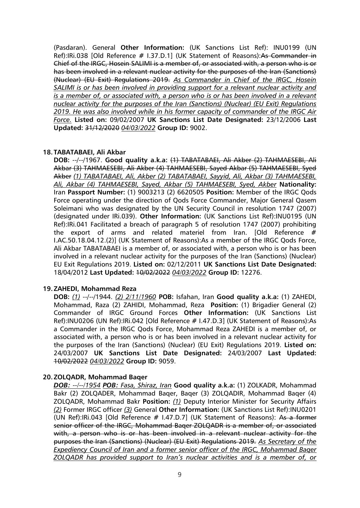(Pasdaran). General **Other Information:** (UK Sanctions List Ref): INU0199 (UN Ref):IRi.038 [Old Reference # I.37.D.1] (UK Statement of Reasons):As Commander in Chief of the IRGC, Hosein SALIMI is a member of, or associated with, a person who is or has been involved in a relevant nuclear activity for the purposes of the Iran (Sanctions) (Nuclear) (EU Exit) Regulations 2019. *As Commander in Chief of the IRGC, Hosein SALIMI is or has been involved in providing support for a relevant nuclear activity and is a member of, or associated with, a person who is or has been involved in a relevant nuclear activity for the purposes of the Iran (Sanctions) (Nuclear) (EU Exit) Regulations 2019. He was also involved while in his former capacity of commander of the IRGC Air Force.* **Listed on:** 09/02/2007 **UK Sanctions List Date Designated:** 23/12/2006 **Last Updated:** 31/12/2020 *04/03/2022* **Group ID:** 9002.

#### **18. TABATABAEI, Ali Akbar**

**DOB:** --/--/1967. **Good quality a.k.a:** (1) TABATABAEI, Ali Akber (2) TAHMAESEBI, Ali Akbar (3) TAHMAESEBI, Ali Akber (4) TAHMAESEBI, Sayed Akbar (5) TAHMAESEBI, Syed Akber *(1) TABATABAEI, Ali, Akber (2) TABATABAEI, Sayyid, Ali, Akbar (3) TAHMAESEBI, Ali, Akbar (4) TAHMAESEBI, Sayed, Akbar (5) TAHMAESEBI, Syed, Akber* **Nationality:** Iran **Passport Number:** (1) 9003213 (2) 6620505 **Position:** Member of the IRGC Qods Force operating under the direction of Qods Force Commander, Major General Qasem Soleimani who was designated by the UN Security Council in resolution 1747 (2007) (designated under IRi.039). **Other Information:** (UK Sanctions List Ref):INU0195 (UN Ref):IRi.041 Facilitated a breach of paragraph 5 of resolution 1747 (2007) prohibiting the export of arms and related materiel from Iran. [Old Reference # I.AC.50.18.04.12.(2)] (UK Statement of Reasons):As a member of the IRGC Qods Force, Ali Akbar TABATABAEI is a member of, or associated with, a person who is or has been involved in a relevant nuclear activity for the purposes of the Iran (Sanctions) (Nuclear) EU Exit Regulations 2019. **Listed on:** 02/12/2011 **UK Sanctions List Date Designated:** 18/04/2012 **Last Updated:** 10/02/2022 *04/03/2022* **Group ID:** 12276.

## **19.ZAHEDI, Mohammad Reza**

**DOB:** *(1)* --/--/1944. *(2) 2/11/1960* **POB:** Isfahan, Iran **Good quality a.k.a:** (1) ZAHEDI, Mohammad, Raza (2) ZAHIDI, Mohammad, Reza **Position:** (1) Brigadier General (2) Commander of IRGC Ground Forces **Other Information:** (UK Sanctions List Ref):INU0206 (UN Ref):IRi.042 [Old Reference # I.47.D.3] (UK Statement of Reasons):As a Commander in the IRGC Qods Force, Mohammad Reza ZAHEDI is a member of, or associated with, a person who is or has been involved in a relevant nuclear activity for the purposes of the Iran (Sanctions) (Nuclear) (EU Exit) Regulations 2019. **Listed on:** 24/03/2007 **UK Sanctions List Date Designated:** 24/03/2007 **Last Updated:** 10/02/2022 *04/03/2022* **Group ID:** 9059.

## **20.ZOLQADR, Mohammad Baqer**

*DOB: --/--/1954 POB: Fasa, Shiraz, Iran* **Good quality a.k.a:** (1) ZOLKADR, Mohammad Bakr (2) ZOLQADER, Mohammad Baqer, Baqer (3) ZOLQADIR, Mohammad Baqer (4) ZOLQADR, Mohammad Bakr **Position:** *(1)* Deputy Interior Minister for Security Affairs *(2)* Former IRGC officer *(3)* General **Other Information:** (UK Sanctions List Ref):INU0201 (UN Ref): IRI.043 [Old Reference  $# 1.47 \text{.}$  D.7] (UK Statement of Reasons): As a former senior officer of the IRGC, Mohammad Baqer ZOLQADR is a member of, or associated with, a person who is or has been involved in a relevant nuclear activity for the purposes the Iran (Sanctions) (Nuclear) (EU Exit) Regulations 2019. *As Secretary of the Expediency Council of Iran and a former senior officer of the IRGC, Mohammad Baqer ZOLQADR has provided support to Iran's nuclear activities and is a member of, or*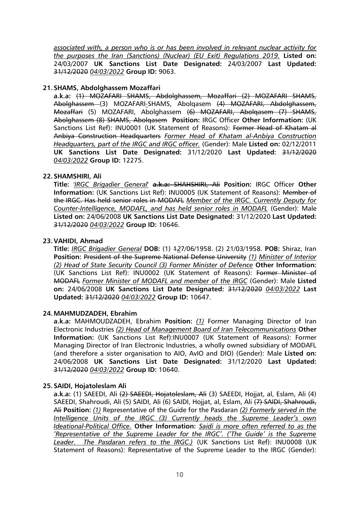*associated with, a person who is or has been involved in relevant nuclear activity for the purposes the Iran (Sanctions) (Nuclear) (EU Exit) Regulations 2019.* **Listed on:** 24/03/2007 **UK Sanctions List Date Designated:** 24/03/2007 **Last Updated:** 31/12/2020 *04/03/2022* **Group ID:** 9063.

## **21.SHAMS, Abdolghassem Mozaffari**

**a.k.a:** (1) MOZAFARI SHAMS, Abdolghassem, Mozaffari (2) MOZAFARI SHAMS, Abolghassem (3) MOZAFARI*-*SHAMS, Abolqasem (4) MOZAFARI, Abdolghassem, Mozaffari (5) MOZAFARI, Abolghassem (6) MOZAFARI, Abolqasem (7) SHAMS, Abolghassem (8) SHAMS, Abolqasem **Position:** IRGC Officer **Other Information:** (UK Sanctions List Ref): INU0001 (UK Statement of Reasons): Former Head of Khatam al Anbiya Construction Headquarters *Former Head of Khatam al-Anbiya Construction Headquarters, part of the IRGC and IRGC officer.* (Gender): Male **Listed on:** 02/12/2011 **UK Sanctions List Date Designated:** 31/12/2020 **Last Updated:** 31/12/2020 *04/03/2022* **Group ID:** 12275.

## **22.SHAMSHIRI, Ali**

**Title:** *'IRGC Brigadier General'* **a.k.a:** SHAHSHIRI, Ali **Position:** IRGC Officer **Other Information:** (UK Sanctions List Ref): INU0005 (UK Statement of Reasons): Member of the IRGC. Has held senior roles in MODAFL *Member of the IRGC. Currently Deputy for Counter-Intelligence, MODAFL, and has held senior roles in MODAFL* (Gender): Male **Listed on:** 24/06/2008 **UK Sanctions List Date Designated:** 31/12/2020 **Last Updated:** 31/12/2020 *04/03/2022* **Group ID:** 10646.

## **23.VAHIDI, Ahmad**

**Title:** *IRGC Brigadier General* **DOB:** (1) 1*2*7/06/1958. (2) 21/03/1958. **POB:** Shiraz, Iran **Position:** President of the Supreme National Defense University *(1) Minister of Interior (2) Head of State Security Council (3) Former Minister of Defence* **Other Information:** (UK Sanctions List Ref): INU0002 (UK Statement of Reasons): Former Minister of MODAFL *Former Minister of MODAFL and member of the IRGC* (Gender): Male **Listed on:** 24/06/2008 **UK Sanctions List Date Designated:** 31/12/2020 *04/03/2022* **Last Updated:** 31/12/2020 *04/03/2022* **Group ID:** 10647.

## **24.MAHMUDZADEH, Ebrahim**

**a.k.a:** MAHMOUDZADEH, Ebrahim **Position:** *(1)* Former Managing Director of Iran Electronic Industries *(2) Head of Management Board of Iran Telecommunications* **Other Information:** (UK Sanctions List Ref):INU0007 (UK Statement of Reasons): Former Managing Director of Iran Electronic Industries, a wholly owned subsidiary of MODAFL (and therefore a sister organisation to AIO, AvIO and DIO) (Gender): Male **Listed on:** 24/06/2008 **UK Sanctions List Date Designated:** 31/12/2020 **Last Updated:** 31/12/2020 *04/03/2022* **Group ID:** 10640.

## **25.SAIDI, Hojatoleslam Ali**

**a.k.a:** (1) SAEEDI, Ali (2) SAEEDI, Hojatoleslam, Ali (3) SAEEDI, Hojjat, al, Eslam, Ali (4) SAEEDI, Shahroudi, Ali (5) SAIDI, Ali (6) SAIDI, Hojjat, al, Eslam, Ali (7) SAIDI, Shahroudi, Ali **Position:** *(1)* Representative of the Guide for the Pasdaran *(2) Formerly served in the Intelligence Units of the IRGC (3) Currently heads the Supreme Leader's own Ideational-Political Office.* **Other Information:** *Saidi is more often referred to as the 'Representative of the Supreme Leader for the IRGC'. ('The Guide' is the Supreme Leader. The Pasdaran refers to the IRGC.)* (UK Sanctions List Ref): INU0008 (UK Statement of Reasons): Representative of the Supreme Leader to the IRGC (Gender):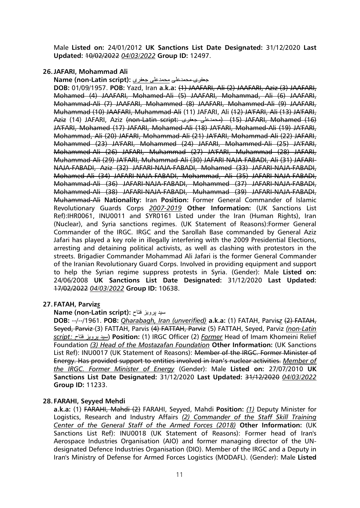Male **Listed on:** 24/01/2012 **UK Sanctions List Date Designated:** 31/12/2020 **Last Updated:** 10/02/2022 *04/03/2022* **Group ID:** 12497.

## **26.JAFARI, Mohammad Ali**

جعفری محمدعلی محمدعلی جعفری **:(script Latin-non (Name**

**DOB:** 01/09/1957. **POB:** Yazd, Iran **a.k.a:** (1) JAAFARI, Ali (2) JAAFARI, Aziz (3) JAAFARI, Mohamed (4) JAAFARI, Mohamed-Ali (5) JAAFARI, Mohammad, Ali (6) JAAFARI, Mohammad-Ali (7) JAAFARI, Mohammed (8) JAAFARI, Mohammed-Ali (9) JAAFARI, Muhammad (10) JAAFARI, Muhammad-Ali (11) JAFARI, Ali (12) JA'FARI, Ali (13) JA'FARI, Aziz (14) JAFARI, Aziz (non-Latin script: جعفری محمدعلی) (15 (JAFARI, Mohamed (16) JA'FARI, Mohamed (17) JAFARI, Mohamed-Ali (18) JA'FARI, Mohamed-Ali (19) JA'FARI, Mohammad, Ali (20) JAFARI, Mohammad-Ali (21) JA'FARI, Mohammad-Ali (22) JAFARI, Mohammed (23) JA'FARI, Mohammed (24) JAFARI, Mohammed-Ali (25) JA'FARI, Mohammed-Ali (26) JAFARI, Muhammad (27) JA'FARI, Muhammad (28) JAFARI, Muhammad-Ali (29) JA'FARI, Muhammad-Ali (30) JAFARI-NAJA-FABADI, Ali (31) JAFARI-NAJA-FABADI, Aziz (32) JAFARI-NAJA-FABADI, Mohamed (33) JAFARI-NAJA-FABADI, Mohamed-Ali (34) JAFARI-NAJA-FABADI, Mohammad, Ali (35) JAFARI-NAJA-FABADI, Mohammad-Ali (36) JAFARI-NAJA-FABADI, Mohammed (37) JAFARI-NAJA-FABADI, Mohammed-Ali (38) JAFARI-NAJA-FABADI, Muhammad (39) JAFARI-NAJA-FABADI, Muhammad-Ali **Nationality:** Iran **Position:** Former General Commander of Islamic Revolutionary Guards Corps *2007-2019* **Other Information:** (UK Sanctions List Ref):IHR0061, INU0011 and SYR0161 Listed under the Iran (Human Rights), Iran (Nuclear), and Syria sanctions regimes. (UK Statement of Reasons):Former General Commander of the IRGC. IRGC and the Sarollah Base commanded by General Aziz Jafari has played a key role in illegally interfering with the 2009 Presidential Elections, arresting and detaining political activists, as well as clashing with protestors in the streets. Brigadier Commander Mohammad Ali Jafari is the former General Commander of the Iranian Revolutionary Guard Corps. Involved in providing equipment and support to help the Syrian regime suppress protests in Syria. (Gender): Male **Listed on:** 24/06/2008 **UK Sanctions List Date Designated:** 31/12/2020 **Last Updated:** 17/02/2022 *04/03/2022* **Group ID:** 10638.

## **27. FATAH, Parviz***s*

**Name (non-Latin script):** فتاح پرویز سید

**DOB:** --/--/1961. **POB:** *Qharabagh, Iran (unverified)* **a.k.a:** (1) FATAH, Parvis*z* (2) FATAH, Seyed, Parviz (3) FATTAH, Parvis (4) FATTAH, Parviz (5) FATTAH, Seyed, Parviz *(non-Latin script:* فتاح پرویز سید (**Position:** (1) IRGC Officer (2) *Former* Head of Imam Khomeini Relief Foundation *(3) Head of the Mostazafan Foundation* **Other Information:** (UK Sanctions List Ref): INU0017 (UK Statement of Reasons): Member of the IRGC. Former Minister of Energy. Has provided support to entities involved in Iran's nuclear activities. *Member of the IRGC. Former Minister of Energy* (Gender): Male **Listed on:** 27/07/2010 **UK Sanctions List Date Designated:** 31/12/2020 **Last Updated:** 31/12/2020 *04/03/2022* **Group ID:** 11233.

## **28. FARAHI, Seyyed Mehdi**

**a.k.a:** (1) FARAHI, Mahdi (2) FARAHI, Seyyed, Mahdi **Position:** *(1)* Deputy Minister for Logistics, Research and Industry Affairs *(2) Commander of the Staff Skill Training Center of the General Staff of the Armed Forces (2018)* **Other Information:** (UK Sanctions List Ref): INU0018 (UK Statement of Reasons): Former head of Iran's Aerospace Industries Organisation (AIO) and former managing director of the UNdesignated Defence Industries Organisation (DIO). Member of the IRGC and a Deputy in Iran's Ministry of Defense for Armed Forces Logistics (MODAFL). (Gender): Male **Listed**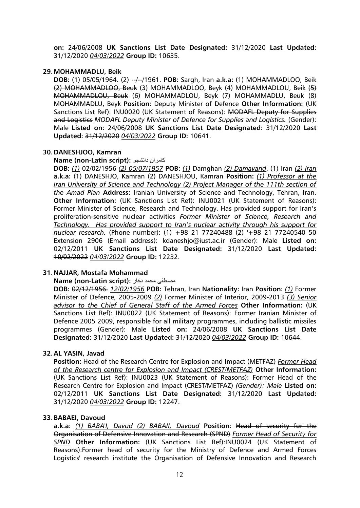**on:** 24/06/2008 **UK Sanctions List Date Designated:** 31/12/2020 **Last Updated:** 31/12/2020 *04/03/2022* **Group ID:** 10635.

#### **29.MOHAMMADLU, Beik**

**DOB:** (1) 05/05/1964. (2) --/--/1961. **POB:** Sargh, Iran **a.k.a:** (1) MOHAMMADLOO, Beik (2) MOHAMMADLOO, Beuk (3) MOHAMMADLOO, Beyk (4) MOHAMMADLOU, Beik (5) MOHAMMADLOU, Beuk (6) MOHAMMADLOU, Beyk (7) MOHAMMADLU, Beuk (8) MOHAMMADLU, Beyk **Position:** Deputy Minister of Defence **Other Information:** (UK Sanctions List Ref): INU0020 (UK Statement of Reasons): MODAFL Deputy for Supplies and Logistics *MODAFL Deputy Minister of Defence for Supplies and Logistics.* (Gender): Male **Listed on:** 24/06/2008 **UK Sanctions List Date Designated:** 31/12/2020 **Last Updated:** 31/12/2020 *04/03/2022* **Group ID:** 10641.

#### **30.DANESHJOO, Kamran**

#### **Name (non-Latin script):** دانشجو کامران

**DOB:** *(1)* 02/02/1956 *(2) 05/07/1957* **POB:** *(1)* Damghan *(2) Damavand*, (1) Iran *(2) Iran* **a.k.a:** (1) DANESHJO, Kamran (2) DANESHJOU, Kamran **Position:** *(1) Professor at the Iran University of Science and Technology (2) Project Manager of the 111th section of the Amad Plan* **Address:** Iranian University of Science and Technology, Tehran, Iran. **Other Information:** (UK Sanctions List Ref): INU0021 (UK Statement of Reasons): Former Minister of Science, Research and Technology. Has provided support for Iran's proliferation-sensitive nuclear activities *Former Minister of Science, Research and Technology. Has provided support to Iran's nuclear activity through his support for nuclear research.* (Phone number): (1) +98 21 77240488 (2) '+98 21 77240540 50 Extension 2906 (Email address): kdaneshjo@iust.ac.ir (Gender): Male **Listed on:** 02/12/2011 **UK Sanctions List Date Designated:** 31/12/2020 **Last Updated:** 10/02/2022 *04/03/2022* **Group ID:** 12232.

## **31.NAJJAR, Mostafa Mohammad**

مصطفى محمد نجّار **:** Name (non-Latin script)

**DOB:** 02/12/1956. *12/02/1956* **POB:** Tehran, Iran **Nationality:** Iran **Position:** *(1)* Former Minister of Defence, 2005-2009 *(2)* Former Minister of Interior, 2009-2013 *(3) Senior advisor to the Chief of General Staff of the Armed Forces* **Other Information:** (UK Sanctions List Ref): INU0022 (UK Statement of Reasons): Former Iranian Minister of Defence 2005 2009, responsible for all military programmes, including ballistic missiles programmes (Gender): Male **Listed on:** 24/06/2008 **UK Sanctions List Date Designated:** 31/12/2020 **Last Updated:** 31/12/2020 *04/03/2022* **Group ID:** 10644.

## **32.AL YASIN, Javad**

**Position:** Head of the Research Centre for Explosion and Impact (METFAZ) *Former Head of the Research centre for Explosion and Impact (CREST/METFAZ)* **Other Information:** (UK Sanctions List Ref): INU0023 (UK Statement of Reasons): Former Head of the Research Centre for Explosion and Impact (CREST/METFAZ) *(Gender): Male* **Listed on:** 02/12/2011 **UK Sanctions List Date Designated:** 31/12/2020 **Last Updated:** 31/12/2020 *04/03/2022* **Group ID:** 12247.

#### **33.BABAEI, Davoud**

**a.k.a:** *(1) BABA'I, Davud (2) BABAII, Davoud* **Position:** Head of security for the Organisation of Defensive Innovation and Research (SPND) *Former Head of Security for SPND* **Other Information:** (UK Sanctions List Ref):INU0024 (UK Statement of Reasons):Former head of security for the Ministry of Defence and Armed Forces Logistics' research institute the Organisation of Defensive Innovation and Research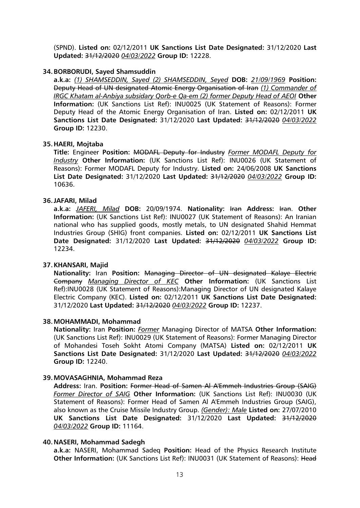(SPND). **Listed on:** 02/12/2011 **UK Sanctions List Date Designated:** 31/12/2020 **Last Updated:** 31/12/2020 *04/03/2022* **Group ID:** 12228.

#### **34.BORBORUDI, Sayed Shamsuddin**

**a.k.a:** *(1) SHAMSEDDIN, Sayed (2) SHAMSEDDIN, Seyed* **DOB:** *21/09/1969* **Position:** Deputy Head of UN designated Atomic Energy Organisation of Iran *(1) Commander of IRGC Khatam al-Anbiya subsidary Qorb-e Qa-em (2) former Deputy Head of AEOI* **Other Information:** (UK Sanctions List Ref): INU0025 (UK Statement of Reasons): Former Deputy Head of the Atomic Energy Organisation of Iran. **Listed on:** 02/12/2011 **UK Sanctions List Date Designated:** 31/12/2020 **Last Updated:** 31/12/2020 *04/03/2022* **Group ID:** 12230.

#### **35.HAERI, Mojtaba**

**Title:** Engineer **Position:** MODAFL Deputy for Industry *Former MODAFL Deputy for Industry* **Other Information:** (UK Sanctions List Ref): INU0026 (UK Statement of Reasons): Former MODAFL Deputy for Industry. **Listed on:** 24/06/2008 **UK Sanctions List Date Designated:** 31/12/2020 **Last Updated:** 31/12/2020 *04/03/2022* **Group ID:** 10636.

#### **36.JAFARI, Milad**

**a.k.a:** *JAFERI, Milad* **DOB:** 20/09/1974. **Nationality:** Iran **Address:** Iran. **Other Information:** (UK Sanctions List Ref): INU0027 (UK Statement of Reasons): An Iranian national who has supplied goods, mostly metals, to UN designated Shahid Hemmat Industries Group (SHIG) front companies. **Listed on:** 02/12/2011 **UK Sanctions List Date Designated:** 31/12/2020 **Last Updated:** 31/12/2020 *04/03/2022* **Group ID:** 12234.

## **37.KHANSARI, Majid**

**Nationality:** Iran **Position:** Managing Director of UN designated Kalaye Electric Company *Managing Director of KEC* **Other Information:** (UK Sanctions List Ref):INU0028 (UK Statement of Reasons):Managing Director of UN designated Kalaye Electric Company (KEC). **Listed on:** 02/12/2011 **UK Sanctions List Date Designated:** 31/12/2020 **Last Updated:** 31/12/2020 *04/03/2022* **Group ID:** 12237.

#### **38.MOHAMMADI, Mohammad**

**Nationality:** Iran **Position:** *Former* Managing Director of MATSA **Other Information:** (UK Sanctions List Ref): INU0029 (UK Statement of Reasons): Former Managing Director of Mohandesi Toseh Sokht Atomi Company (MATSA) **Listed on:** 02/12/2011 **UK Sanctions List Date Designated:** 31/12/2020 **Last Updated:** 31/12/2020 *04/03/2022* **Group ID:** 12240.

#### **39.MOVASAGHNIA, Mohammad Reza**

**Address:** Iran. **Position:** Former Head of Samen Al A'Emmeh Industries Group (SAIG) *Former Director of SAIG* **Other Information:** (UK Sanctions List Ref): INU0030 (UK Statement of Reasons): Former Head of Samen Al A'Emmeh Industries Group (SAIG), also known as the Cruise Missile Industry Group. *(Gender): Male* **Listed on:** 27/07/2010 **UK Sanctions List Date Designated:** 31/12/2020 **Last Updated:** 31/12/2020 *04/03/2022* **Group ID:** 11164.

#### **40.NASERI, Mohammad Sadegh**

**a.k.a:** NASERI, Mohammad Sadeq **Position:** Head of the Physics Research Institute **Other Information:** (UK Sanctions List Ref): INU0031 (UK Statement of Reasons): Head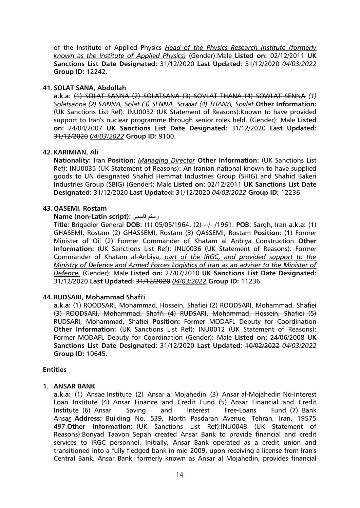of the Institute of Applied Physics *Head of the Physics Research Institute (formerly known as the Institute of Applied Physics)* (Gender):Male **Listed on:** 02/12/2011 **UK Sanctions List Date Designated:** 31/12/2020 **Last Updated:** 31/12/2020 *04/03/2022* **Group ID:** 12242.

## **41.SOLAT SANA, Abdollah**

**a.k.a:** (1) SOLAT SANNA (2) SOLATSANA (3) SOVLAT THANA (4) SOWLAT SENNA *(1) Solatsanna (2) SANNA, Solat (3) SENNA, Sowlat (4) THANA, Sovlat* **Other Information:** (UK Sanctions List Ref): INU0032 (UK Statement of Reasons):Known to have provided support to Iran's nuclear programme through senior roles held. (Gender): Male **Listed on:** 24/04/2007 **UK Sanctions List Date Designated:** 31/12/2020 **Last Updated:** 31/12/2020 *04/03/2022* **Group ID:** 9100.

## **42.KARIMIAN, Ali**

**Nationality:** Iran **Position:** *Managing Director* **Other Information:** (UK Sanctions List Ref): INU0035 (UK Statement of Reasons): An Iranian national known to have supplied goods to UN designated Shahid Hemmat Industries Group (SHIG) and Shahid Bakeri Industries Group (SBIG) (Gender): Male **Listed on:** 02/12/2011 **UK Sanctions List Date Designated:** 31/12/2020 **Last Updated:** 31/12/2020 *04/03/2022* **Group ID:** 12236.

## **43.QASEMI, Rostam**

## **Name (non-Latin script):** قاسمی رستم

**Title:** Brigadier General **DOB:** (1) 05/05/1964. (2) --/--/1961. **POB:** Sargh, Iran **a.k.a:** (1) GHASEMI, Rostam (2) GHASSEMI, Rostam (3) QASSEMI, Rostam **Position:** (1) Former Minister of Oil (2) Former Commander of Khatam al Anbiya Construction **Other Information:** (UK Sanctions List Ref): INU0036 (UK Statement of Reasons): Former Commander of Khatam al-Anbiya, *part of the IRGC, and provided support to the Ministry of Defence and Armed Forces Logistics of Iran as an adviser to the Minister of Defence.* (Gender): Male **Listed on:** 27/07/2010 **UK Sanctions List Date Designated:** 31/12/2020 **Last Updated:** 31/12/2020 *04/03/2022* **Group ID:** 11236.

## **44.RUDSARI, Mohammad Shafi'i**

**a.k.a:** (1) ROODSARI, Mohammad, Hossein, Shafiei (2) ROODSARI, Mohammad, Shafiei (3) ROODSARI, Mohammad, Shafi'i (4) RUDSARI, Mohammad, Hossein, Shafiei (5) RUDSARI, Mohammad, Shafiei **Position:** Former MODAFL Deputy for Coordination **Other Information:** (UK Sanctions List Ref): INU0012 (UK Statement of Reasons): Former MODAFL Deputy for Coordination (Gender): Male **Listed on:** 24/06/2008 **UK Sanctions List Date Designated:** 31/12/2020 **Last Updated:** 10/02/2022 *04/03/2022* **Group ID:** 10645.

## **Entities**

## **1. ANSAR BANK**

**a.k.a:** (1) Ansae Institute (2) Ansar al Mojahedin (3) Ansar al-Mojahedin No-Interest Loan Institute (4) Ansar Finance and Credit Fund (5) Ansar Financial and Credit Institute (6) Ansar Saving and Interest Free-Loans Fund (7) Bank Ansa*r* **Address:** Building No. 539, North Pasdaran Avenue, Tehran, Iran, 19575 497.**Other Information:** (UK Sanctions List Ref):INU0048 (UK Statement of Reasons):Bonyad Taavon Sepah created Ansar Bank to provide financial and credit services to IRGC personnel. Initially, Ansar Bank operated as a credit union and transitioned into a fully fledged bank in mid 2009, upon receiving a license from Iran's Central Bank. Ansar Bank, formerly known as Ansar al Mojahedin, provides financial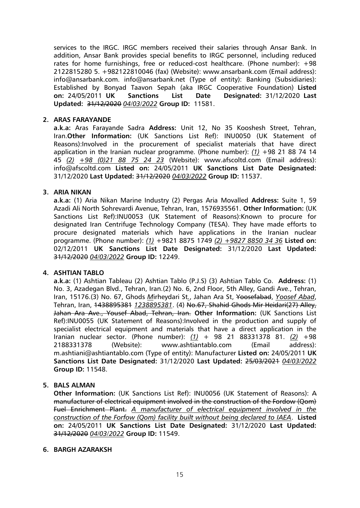services to the IRGC. IRGC members received their salaries through Ansar Bank. In addition, Ansar Bank provides special benefits to IRGC personnel, including reduced rates for home furnishings, free or reduced-cost healthcare. (Phone number): +98 2122815280 5. +982122810046 (fax) (Website): www.ansarbank.com (Email address): info@ansarbank.com. info@ansarbank.net (Type of entity): Banking (Subsidiaries): Established by Bonyad Taavon Sepah (aka IRGC Cooperative Foundation) **Listed on:** 24/05/2011 **UK Sanctions List Date Designated:** 31/12/2020 **Last Updated:** 31/12/2020 *04/03/2022* **Group ID:** 11581.

## **2. ARAS FARAYANDE**

**a.k.a:** Aras Farayande Sadra **Address:** Unit 12, No 35 Kooshesh Street, Tehran, Iran.**Other Information:** (UK Sanctions List Ref): INU0050 (UK Statement of Reasons):Involved in the procurement of specialist materials that have direct application in the Iranian nuclear programme. (Phone number): *(1)* +98 21 88 74 14 45 *(2) +98 (0)21 88 75 24 23* (Website): www.afscoltd.com (Email address): info@afscoltd.com **Listed on:** 24/05/2011 **UK Sanctions List Date Designated:** 31/12/2020 **Last Updated:** 31/12/2020 *04/03/2022* **Group ID:** 11537.

## **3. ARIA NIKAN**

**a.k.a:** (1) Aria Nikan Marine Industry (2) Pergas Aria Movalled **Address:** Suite 1, 59 Azadi Ali North Sohrevardi Avenue, Tehran, Iran, 1576935561. **Other Information:** (UK Sanctions List Ref):INU0053 (UK Statement of Reasons):Known to procure for designated Iran Centrifuge Technology Company (TESA). They have made efforts to procure designated materials which have applications in the Iranian nuclear programme. (Phone number): *(1)* +9821 8875 1749 *(2) +9827 8850 34 36* **Listed on:** 02/12/2011 **UK Sanctions List Date Designated:** 31/12/2020 **Last Updated:** 31/12/2020 *04/03/2022* **Group ID:** 12249.

## **4. ASHTIAN TABLO**

**a.k.a:** (1) Ashtian Tableau (2) Ashtian Tablo (P.J.S) (3) Ashtian Tablo Co. **Address:** (1) No. 3, Azadegan Blvd., Tehran, Iran.(2) No. 6, 2nd Floor, 5th Alley, Gandi Ave., Tehran, Iran, 15176.(3) No. 67, Ghods *M*irheydari St*.*, Jahan Ara St, Yoosefabad, *Yoosef Abad*, Tehran, Iran, 1438895381 *1238895381*. (4) No.67, Shahid Ghods Mir Heidari(27) Alley, Jahan Ara Ave., Yousef Abad, Tehran, Iran. **Other Information:** (UK Sanctions List Ref):INU0055 (UK Statement of Reasons):Involved in the production and supply of specialist electrical equipment and materials that have a direct application in the Iranian nuclear sector. (Phone number): *(1)* + 98 21 88331378 81. *(2)* +98 2188331378 (Website): www.ashtiantablo.com (Email address): m.ashtiani@ashtiantablo.com (Type of entity): Manufacturer **Listed on:** 24/05/2011 **UK Sanctions List Date Designated:** 31/12/2020 **Last Updated:** 25/03/2021 *04/03/2022* **Group ID:** 11548.

## **5. BALS ALMAN**

**Other Information:** (UK Sanctions List Ref): INU0056 (UK Statement of Reasons): A manufacturer of electrical equipment involved in the construction of the Fordow (Qom) Fuel Enrichment Plant. *A manufacturer of electrical equipment involved in the construction of the Forfow (Qom) facility built without being declared to IAEA*. **Listed on:** 24/05/2011 **UK Sanctions List Date Designated:** 31/12/2020 **Last Updated:** 31/12/2020 *04/03/2022* **Group ID:** 11549.

#### **6. BARGH AZARAKSH**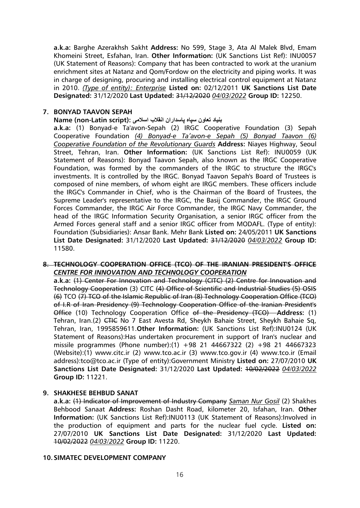**a.k.a:** Barghe Azerakhsh Sakht **Address:** No 599, Stage 3, Ata Al Malek Blvd, Emam Khomeini Street, Esfahan, Iran. **Other Information:** (UK Sanctions List Ref): INU0057 (UK Statement of Reasons): Company that has been contracted to work at the uranium enrichment sites at Natanz and Qom/Fordow on the electricity and piping works. It was in charge of designing, procuring and installing electrical control equipment at Natanz in 2010. *(Type of entity): Enterprise* **Listed on:** 02/12/2011 **UK Sanctions List Date Designated:** 31/12/2020 **Last Updated:** 31/12/2020 *04/03/2022* **Group ID:** 12250.

## **7. BONYAD TAAVON SEPAH**

#### **بنیاد تعاون سپاه پاسداران انقالب اسالمی :(script Latin-non (Name**

**a.k.a:** (1) Bonyad-e Ta'avon-Sepah (2) IRGC Cooperative Foundation (3) Sepah Cooperative Foundation *(4) Bonyad-e Ta'avon-e Sepah (5) Bonyad Taavon (6) Cooperative Foundation of the Revolutionary Guards* **Address:** Niayes Highway, Seoul Street, Tehran, Iran. **Other Information:** (UK Sanctions List Ref): INU0059 (UK Statement of Reasons): Bonyad Taavon Sepah, also known as the IRGC Cooperative Foundation, was formed by the commanders of the IRGC to structure the IRGC's investments. It is controlled by the IRGC. Bonyad Taavon Sepah's Board of Trustees is composed of nine members, of whom eight are IRGC members. These officers include the IRGC's Commander in Chief, who is the Chairman of the Board of Trustees, the Supreme Leader's representative to the IRGC, the Basij Commander, the IRGC Ground Forces Commander, the IRGC Air Force Commander, the IRGC Navy Commander, the head of the IRGC Information Security Organisation, a senior IRGC officer from the Armed Forces general staff and a senior IRGC officer from MODAFL. (Type of entity): Foundation (Subsidiaries): Ansar Bank. Mehr Bank **Listed on:** 24/05/2011 **UK Sanctions List Date Designated:** 31/12/2020 **Last Updated:** 31/12/2020 *04/03/2022* **Group ID:** 11580.

#### **8. TECHNOLOGY COOPERATION OFFICE (TCO) OF THE IRANIAN PRESIDENT'S OFFICE** *CENTRE FOR INNOVATION AND TECHNOLOGY COOPERATION*

**a.k.a:** (1) Center For Innovation and Technology (CITC) (2) Centre for Innovation and Technology Cooperation (3) CITC (4) Office of Scientific and Industrial Studies (5) OSIS (6) TCO (7) TCO of the Islamic Republic of Iran (8) Technology Cooperation Office (TCO) of I.R of Iran Presidency (9) Technology Cooperation Office of the Iranian President's Office (10) Technology Cooperation Office of the Presidency (TCO) **Address:** (1) Tehran, Iran.(2) <del>CTIC</del> No 7 East Avesta Rd, Sheykh Bahaie Street, Sheykh Bahaie Sq, Tehran, Iran, 1995859611.**Other Information:** (UK Sanctions List Ref):INU0124 (UK Statement of Reasons):Has undertaken procurement in support of Iran's nuclear and missile programmes (Phone number):(1) +98 21 44667322 (2) +98 21 44667323 (Website):(1) www.citc.ir (2) www.tco.ac.ir (3) www.tco.gov.ir (4) www.tco.ir (Email address):tco@tco.ac.ir (Type of entity):Government Ministry **Listed on:** 27/07/2010 **UK Sanctions List Date Designated:** 31/12/2020 **Last Updated:** 10/02/2022 *04/03/2022* **Group ID:** 11221.

## **9. SHAKHESE BEHBUD SANAT**

**a.k.a:** (1) Indicator of Improvement of Industry Company *Saman Nur Gosil* (2) Shakhes Behbood Sanaat **Address:** Roshan Dasht Road, kilometer 20, Isfahan, Iran. **Other Information:** (UK Sanctions List Ref):INU0113 (UK Statement of Reasons):Involved in the production of equipment and parts for the nuclear fuel cycle. **Listed on:** 27/07/2010 **UK Sanctions List Date Designated:** 31/12/2020 **Last Updated:** 10/02/2022 *04/03/2022* **Group ID:** 11220.

#### **10.SIMATEC DEVELOPMENT COMPANY**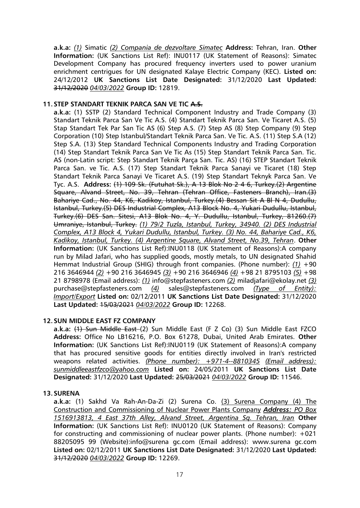**a.k.a:** *(1)* Simatic *(2) Compania de dezvoltare Simatec* **Address:** Tehran, Iran. **Other Information:** (UK Sanctions List Ref): INU0117 (UK Statement of Reasons): Simatec Development Company has procured frequency inverters used to power uranium enrichment centrigues for UN designated Kalaye Electric Company (KEC). **Listed on:** 24/12/2012 **UK Sanctions List Date Designated:** 31/12/2020 **Last Updated:** 31/12/2020 *04/03/2022* **Group ID:** 12819.

## **11.STEP STANDART TEKNIK PARCA SAN VE TIC A.S.**

**a.k.a:** (1) SSTP (2) Standard Technical Component Industry and Trade Company (3) Standart Teknik Parca San Ve Tic A.S. (4) Standart Teknik Parca San. Ve Ticaret A.S. (5) Stap Standart Tek Par San Tic AS (6) Step A.S. (7) Step AS (8) Step Company (9) Step Corporation (10) Step Istanbul/Standart Teknik Parca San. Ve Tic. A.S. (11) Step S.A (12) Step S.A. (13) Step Standard Technical Components Industry and Trading Corporation (14) Step Standart Teknik Parca San Ve Tic As (15) Step Standart Teknik Parca San. Tic. AS (non-Latin script: Step Standart Teknik Parça San. Tic. AS) (16) STEP Standart Teknik Parca San. ve Tic. A.S. (17) Step Standart Teknik Parca Sanayi ve Ticaret (18) Step Standart Teknik Parca Sanayi Ve Ticaret A.S. (19) Step Standart Teknyk Parca San. Ve Tyc. A.S. **Address:** (1) 109 Sk. (Futuhat Sk.), A 13 Blok No 2 4 6, Turkey.(2) Argentine Square, Alvand Street, No. 39, Tehran (Tehran Office, Fasteners Branch), Iran.(3) Bahariye Cad., No. 44, K6, Kadikoy, Istanbul, Turkey.(4) Bessan Sit A Bl N 4, Dudullu, Istanbul, Turkey.(5) DES Industrial Complex, A13 Block No. 4, Yukari Dudullu, Istanbul, Turkey.(6) DES San. Sitesi, A13 Blok No. 4, Y. Dudullu, Istanbul, Turkey, 81260.(7) Umraniye, Istanbul, Turkey. *(1) 79/2 Tuzla, Istanbul, Turkey, 34940. (2) DES Industrial Complex, A13 Block 4, Yukari Dudullu, Istanbul, Turkey. (3) No. 44, Bahariye Cad., K6, Kadikoy, Istanbul, Turkey. (4) Argentine Square, Alvand Street, No.39, Tehran*. **Other Information:** (UK Sanctions List Ref):INU0118 (UK Statement of Reasons):A company run by Milad Jafari, who has supplied goods, mostly metals, to UN designated Shahid Hemmat Industrial Group (SHIG) through front companies. (Phone number): *(1)* +90 216 3646944 *(2)* +90 216 3646945 *(3)* +90 216 3646946 *(4)* +98 21 8795103 *(5)* +98 21 8798978 (Email address): *(1)* info@stepfasteners.com *(2)* miladjafari@ekolay.net *(3)* purchase@stepfasteners.com *(4)* sales@stepfasteners.com *(Type of Entity): Import/Export* **Listed on:** 02/12/2011 **UK Sanctions List Date Designated:** 31/12/2020 **Last Updated:** 15/03/2021 *04/03/2022* **Group ID:** 12268.

## **12.SUN MIDDLE EAST FZ COMPANY**

**a.k.a:** (1) Sun Middle East (2) Sun Middle East (F Z Co) (3) Sun Middle East FZCO **Address:** Office No LB16216, P.O. Box 61278, Dubai, United Arab Emirates. **Other Information:** (UK Sanctions List Ref):INU0119 (UK Statement of Reasons):A company that has procured sensitive goods for entities directly involved in Iran's restricted weapons related activities. *(Phone number): +971-4--8810345 (Email address): sunmiddleeastfzco@yahoo.com* **Listed on:** 24/05/2011 **UK Sanctions List Date Designated:** 31/12/2020 **Last Updated:** 25/03/2021 *04/03/2022* **Group ID:** 11546.

#### **13.SURENA**

**a.k.a:** (1) Sakhd Va Rah-An-Da-Zi (2) Surena Co. (3) Surena Company (4) The Construction and Commissioning of Nuclear Power Plants Company *Address: PO Box 1516913813, 4 East 37th Alley, Alvand Street, Argentina Sq. Tehran, Iran* **Other Information:** (UK Sanctions List Ref): INU0120 (UK Statement of Reasons): Company for constructing and commissioning of nuclear power plants. (Phone number): +021 88205095 99 (Website):info@surena gc.com (Email address): www.surena gc.com **Listed on:** 02/12/2011 **UK Sanctions List Date Designated:** 31/12/2020 **Last Updated:** 31/12/2020 *04/03/2022* **Group ID:** 12269.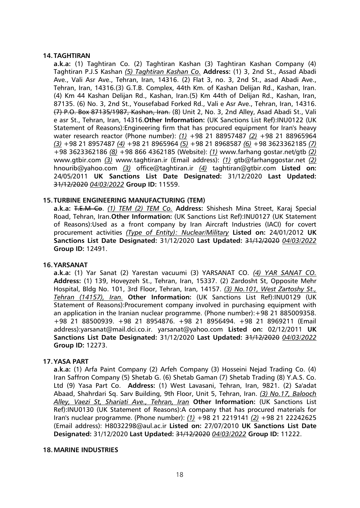## **14. TAGHTIRAN**

**a.k.a:** (1) Taghtiran Co. (2) Taghtiran Kashan (3) Taghtiran Kashan Company (4) Taghtiran P.J.S Kashan *(5) Taghtiran Kashan Co.* **Address:** (1) 3, 2nd St., Assad Abadi Ave., Vali Asr Ave., Tehran, Iran, 14316. (2) Flat 3, no. 3, 2nd St., asad Abadi Ave., Tehran, Iran, 14316.(3) G.T.B. Complex, 44th Km. of Kashan Delijan Rd., Kashan, Iran. (4) Km 44 Kashan Delijan Rd., Kashan, Iran.(5) Km 44th of Delijan Rd., Kashan, Iran, 87135. (6) No. 3, 2nd St., Yousefabad Forked Rd., Vali e Asr Ave., Tehran, Iran, 14316. (7) P.O. Box 87135/1987, Kashan, Iran. (8) Unit 2, No. 3, 2nd Alley, Asad Abadi St., Vali e asr St., Tehran, Iran, 14316.**Other Information:** (UK Sanctions List Ref):INU0122 (UK Statement of Reasons):Engineering firm that has procured equipment for Iran's heavy water research reactor (Phone number): *(1)* +98 21 88957487 *(2)* +98 21 88965964 *(3)* +98 21 8957487 *(4)* +98 21 8965964 *(5)* +98 21 8968587 *(6)* +98 3623362185 *(7)* +98 3623362186 *(8)* +98 866 4362185 (Website): *(1)* www.farhang gostar.net/gtb *(2)* www.gtbir.com *(3)* www.taghtiran.ir (Email address): *(1)* gtb@farhanggostar.net *(2)* hnourib@yahoo.com *(3)* office@taghtiran.ir *(4)* taghtiran@gtbir.com **Listed on:** 24/05/2011 **UK Sanctions List Date Designated:** 31/12/2020 **Last Updated:** 31/12/2020 *04/03/2022* **Group ID:** 11559.

#### **15. TURBINE ENGINEERING MANUFACTURING (TEM)**

**a.k.a:** T.E.M Co. *(1) TEM (2) TEM Co.* **Address:** Shishesh Mina Street, Karaj Special Road, Tehran, Iran.**Other Information:** (UK Sanctions List Ref):INU0127 (UK Statement of Reasons):Used as a front company by Iran Aircraft Industries (IACI) for covert procurement activities *(Type of Entity): Nuclear/Military* **Listed on:** 24/01/2012 **UK Sanctions List Date Designated:** 31/12/2020 **Last Updated:** 31/12/2020 *04/03/2022* **Group ID:** 12491.

#### **16.YARSANAT**

**a.k.a:** (1) Yar Sanat (2) Yarestan vacuumi (3) YARSANAT CO. *(4) YAR SANAT CO.* **Address:** (1) 139, Hoveyzeh St., Tehran, Iran, 15337. (2) Zardosht St, Opposite Mehr Hospital, Bldg No. 101, 3rd Floor, Tehran, Iran, 14157. *(3) No.101, West Zartoshy St., Tehran (14157), Iran.* **Other Information:** (UK Sanctions List Ref):INU0129 (UK Statement of Reasons):Procurement company involved in purchasing equipment with an application in the Iranian nuclear programme. (Phone number): +98 21 885009358. +98 21 88500939. +98 21 8954876. +98 21 8956494. +98 21 8969211 (Email address):yarsanat@mail.dci.co.ir. yarsanat@yahoo.com **Listed on:** 02/12/2011 **UK Sanctions List Date Designated:** 31/12/2020 **Last Updated:** 31/12/2020 *04/03/2022* **Group ID:** 12273.

#### **17.YASA PART**

**a.k.a:** (1) Arfa Paint Company (2) Arfeh Company (3) Hosseini Nejad Trading Co. (4) Iran Saffron Company (5) Shetab G. (6) Shetab Gaman (7) Shetab Trading (8) Y.A.S. Co. Ltd (9) Yasa Part Co. **Address:** (1) West Lavasani, Tehran, Iran, 9821. (2) Sa'adat Abaad, Shahrdari Sq. Sarv Building, 9th Floor, Unit 5, Tehran, Iran. *(3) No.17, Balooch Alley, Vaezi St, Shariati Ave., Tehran, Iran* **Other Information:** (UK Sanctions List Ref):INU0130 (UK Statement of Reasons):A company that has procured materials for Iran's nuclear programme. (Phone number): *(1)* +98 21 2219141 *(2)* +98 21 22242625 (Email address): H8032298@aul.ac.ir **Listed on:** 27/07/2010 **UK Sanctions List Date Designated:** 31/12/2020 **Last Updated:** 31/12/2020 *04/03/2022* **Group ID:** 11222.

#### **18.MARINE INDUSTRIES**